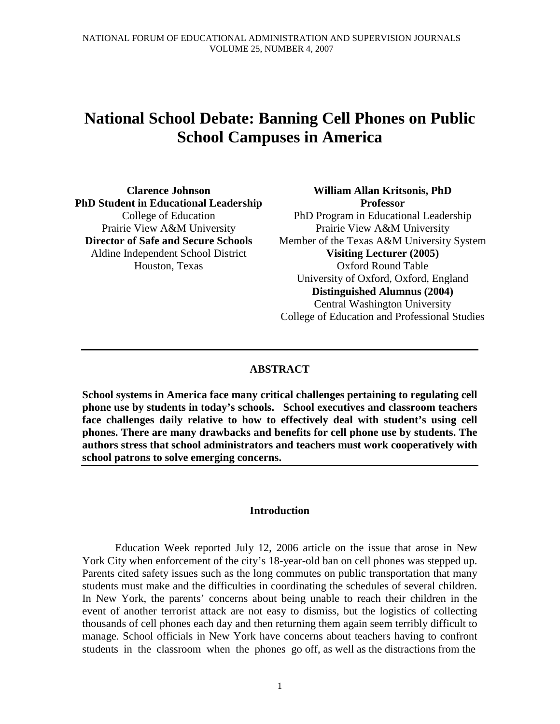# **National School Debate: Banning Cell Phones on Public School Campuses in America**

**Clarence Johnson PhD Student in Educational Leadership**  College of Education Prairie View A&M University **Director of Safe and Secure Schools**  Aldine Independent School District Houston, Texas

**William Allan Kritsonis, PhD Professor**  PhD Program in Educational Leadership Prairie View A&M University Member of the Texas A&M University System **Visiting Lecturer (2005)**  Oxford Round Table University of Oxford, Oxford, England **Distinguished Alumnus (2004)**  Central Washington University College of Education and Professional Studies

# **ABSTRACT**

**School systems in America face many critical challenges pertaining to regulating cell phone use by students in today's schools. School executives and classroom teachers face challenges daily relative to how to effectively deal with student's using cell phones. There are many drawbacks and benefits for cell phone use by students. The authors stress that school administrators and teachers must work cooperatively with school patrons to solve emerging concerns.** 

## **Introduction**

 Education Week reported July 12, 2006 article on the issue that arose in New York City when enforcement of the city's 18-year-old ban on cell phones was stepped up. Parents cited safety issues such as the long commutes on public transportation that many students must make and the difficulties in coordinating the schedules of several children. In New York, the parents' concerns about being unable to reach their children in the event of another terrorist attack are not easy to dismiss, but the logistics of collecting thousands of cell phones each day and then returning them again seem terribly difficult to manage. School officials in New York have concerns about teachers having to confront students in the classroom when the phones go off, as well as the distractions from the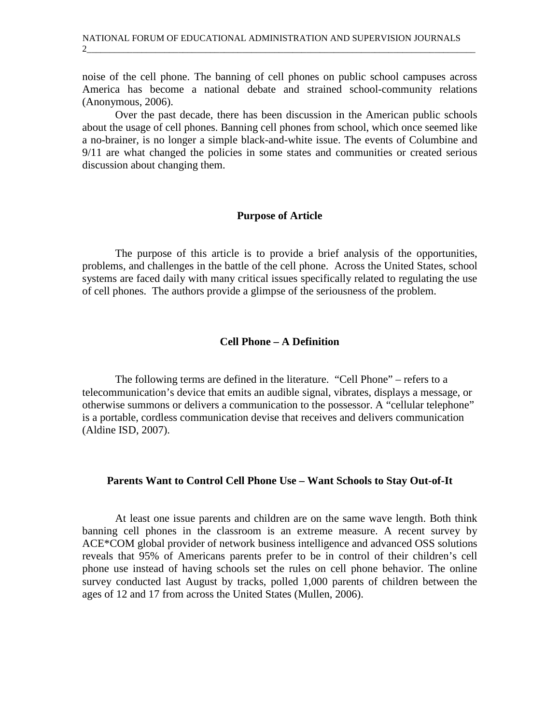noise of the cell phone. The banning of cell phones on public school campuses across America has become a national debate and strained school-community relations (Anonymous, 2006).

2\_\_\_\_\_\_\_\_\_\_\_\_\_\_\_\_\_\_\_\_\_\_\_\_\_\_\_\_\_\_\_\_\_\_\_\_\_\_\_\_\_\_\_\_\_\_\_\_\_\_\_\_\_\_\_\_\_\_\_\_\_\_\_\_\_\_\_\_\_\_\_\_\_\_\_\_\_\_\_\_\_\_\_\_\_

 Over the past decade, there has been discussion in the American public schools about the usage of cell phones. Banning cell phones from school, which once seemed like a no-brainer, is no longer a simple black-and-white issue. The events of Columbine and 9/11 are what changed the policies in some states and communities or created serious discussion about changing them.

#### **Purpose of Article**

The purpose of this article is to provide a brief analysis of the opportunities, problems, and challenges in the battle of the cell phone. Across the United States, school systems are faced daily with many critical issues specifically related to regulating the use of cell phones. The authors provide a glimpse of the seriousness of the problem.

# **Cell Phone – A Definition**

The following terms are defined in the literature. "Cell Phone" – refers to a telecommunication's device that emits an audible signal, vibrates, displays a message, or otherwise summons or delivers a communication to the possessor. A "cellular telephone" is a portable, cordless communication devise that receives and delivers communication (Aldine ISD, 2007).

#### **Parents Want to Control Cell Phone Use – Want Schools to Stay Out-of-It**

 At least one issue parents and children are on the same wave length. Both think banning cell phones in the classroom is an extreme measure. A recent survey by ACE\*COM global provider of network business intelligence and advanced OSS solutions reveals that 95% of Americans parents prefer to be in control of their children's cell phone use instead of having schools set the rules on cell phone behavior. The online survey conducted last August by tracks, polled 1,000 parents of children between the ages of 12 and 17 from across the United States (Mullen, 2006).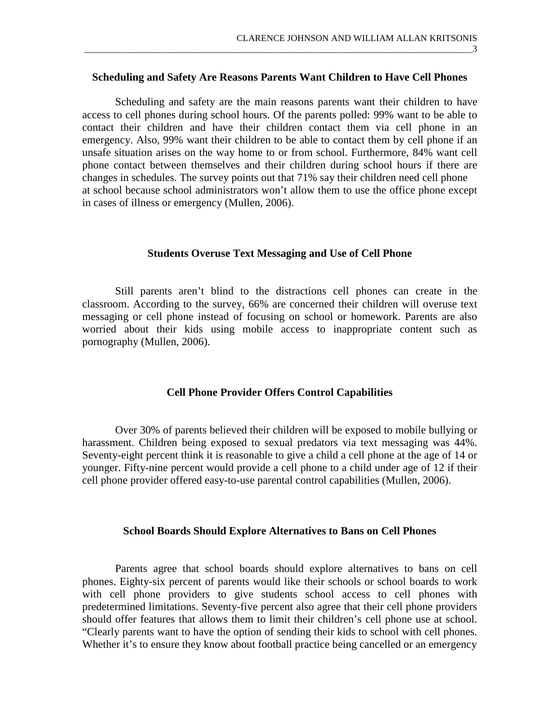#### **Scheduling and Safety Are Reasons Parents Want Children to Have Cell Phones**

\_\_\_\_\_\_\_\_\_\_\_\_\_\_\_\_\_\_\_\_\_\_\_\_\_\_\_\_\_\_\_\_\_\_\_\_\_\_\_\_\_\_\_\_\_\_\_\_\_\_\_\_\_\_\_\_\_\_\_\_\_\_\_\_\_\_\_\_\_\_\_\_\_\_\_\_\_\_\_\_\_\_\_\_\_3

 Scheduling and safety are the main reasons parents want their children to have access to cell phones during school hours. Of the parents polled: 99% want to be able to contact their children and have their children contact them via cell phone in an emergency. Also, 99% want their children to be able to contact them by cell phone if an unsafe situation arises on the way home to or from school. Furthermore, 84% want cell phone contact between themselves and their children during school hours if there are changes in schedules. The survey points out that 71% say their children need cell phone at school because school administrators won't allow them to use the office phone except in cases of illness or emergency (Mullen, 2006).

#### **Students Overuse Text Messaging and Use of Cell Phone**

 Still parents aren't blind to the distractions cell phones can create in the classroom. According to the survey, 66% are concerned their children will overuse text messaging or cell phone instead of focusing on school or homework. Parents are also worried about their kids using mobile access to inappropriate content such as pornography (Mullen, 2006).

### **Cell Phone Provider Offers Control Capabilities**

 Over 30% of parents believed their children will be exposed to mobile bullying or harassment. Children being exposed to sexual predators via text messaging was 44%. Seventy-eight percent think it is reasonable to give a child a cell phone at the age of 14 or younger. Fifty-nine percent would provide a cell phone to a child under age of 12 if their cell phone provider offered easy-to-use parental control capabilities (Mullen, 2006).

#### **School Boards Should Explore Alternatives to Bans on Cell Phones**

 Parents agree that school boards should explore alternatives to bans on cell phones. Eighty-six percent of parents would like their schools or school boards to work with cell phone providers to give students school access to cell phones with predetermined limitations. Seventy-five percent also agree that their cell phone providers should offer features that allows them to limit their children's cell phone use at school. "Clearly parents want to have the option of sending their kids to school with cell phones. Whether it's to ensure they know about football practice being cancelled or an emergency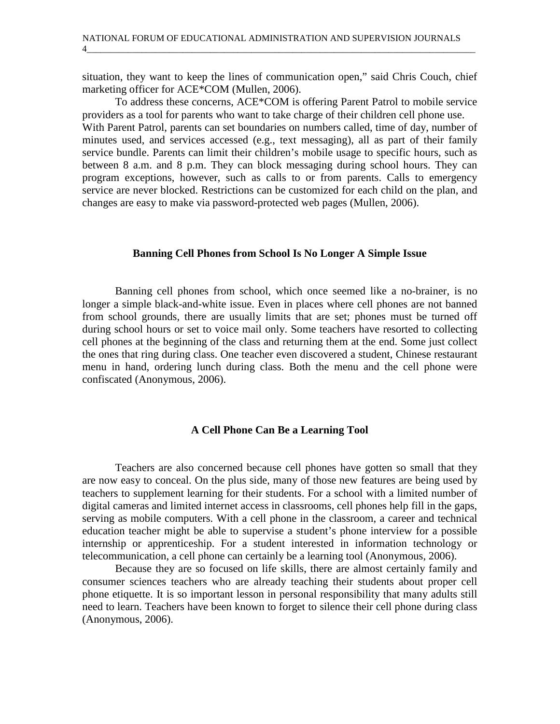situation, they want to keep the lines of communication open," said Chris Couch, chief marketing officer for ACE\*COM (Mullen, 2006).

4\_\_\_\_\_\_\_\_\_\_\_\_\_\_\_\_\_\_\_\_\_\_\_\_\_\_\_\_\_\_\_\_\_\_\_\_\_\_\_\_\_\_\_\_\_\_\_\_\_\_\_\_\_\_\_\_\_\_\_\_\_\_\_\_\_\_\_\_\_\_\_\_\_\_\_\_\_\_\_\_\_\_\_\_\_

 To address these concerns, ACE\*COM is offering Parent Patrol to mobile service providers as a tool for parents who want to take charge of their children cell phone use. With Parent Patrol, parents can set boundaries on numbers called, time of day, number of minutes used, and services accessed (e.g., text messaging), all as part of their family service bundle. Parents can limit their children's mobile usage to specific hours, such as between 8 a.m. and 8 p.m. They can block messaging during school hours. They can program exceptions, however, such as calls to or from parents. Calls to emergency service are never blocked. Restrictions can be customized for each child on the plan, and changes are easy to make via password-protected web pages (Mullen, 2006).

## **Banning Cell Phones from School Is No Longer A Simple Issue**

 Banning cell phones from school, which once seemed like a no-brainer, is no longer a simple black-and-white issue. Even in places where cell phones are not banned from school grounds, there are usually limits that are set; phones must be turned off during school hours or set to voice mail only. Some teachers have resorted to collecting cell phones at the beginning of the class and returning them at the end. Some just collect the ones that ring during class. One teacher even discovered a student, Chinese restaurant menu in hand, ordering lunch during class. Both the menu and the cell phone were confiscated (Anonymous, 2006).

## **A Cell Phone Can Be a Learning Tool**

 Teachers are also concerned because cell phones have gotten so small that they are now easy to conceal. On the plus side, many of those new features are being used by teachers to supplement learning for their students. For a school with a limited number of digital cameras and limited internet access in classrooms, cell phones help fill in the gaps, serving as mobile computers. With a cell phone in the classroom, a career and technical education teacher might be able to supervise a student's phone interview for a possible internship or apprenticeship. For a student interested in information technology or telecommunication, a cell phone can certainly be a learning tool (Anonymous, 2006).

Because they are so focused on life skills, there are almost certainly family and consumer sciences teachers who are already teaching their students about proper cell phone etiquette. It is so important lesson in personal responsibility that many adults still need to learn. Teachers have been known to forget to silence their cell phone during class (Anonymous, 2006).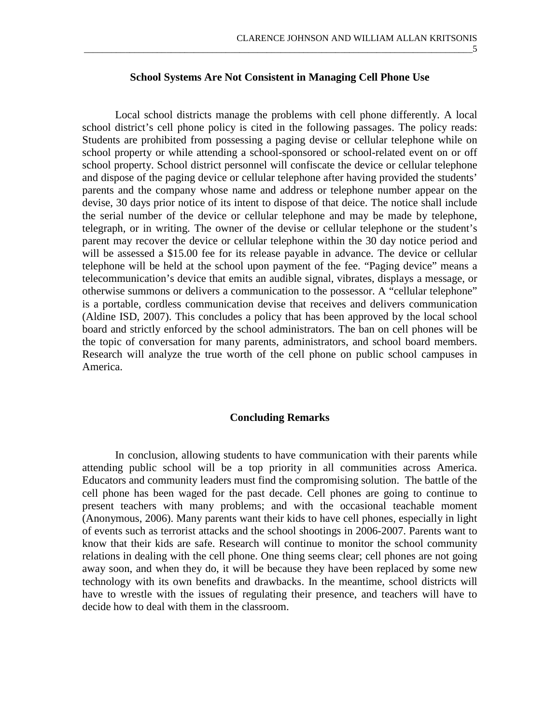**School Systems Are Not Consistent in Managing Cell Phone Use** 

\_\_\_\_\_\_\_\_\_\_\_\_\_\_\_\_\_\_\_\_\_\_\_\_\_\_\_\_\_\_\_\_\_\_\_\_\_\_\_\_\_\_\_\_\_\_\_\_\_\_\_\_\_\_\_\_\_\_\_\_\_\_\_\_\_\_\_\_\_\_\_\_\_\_\_\_\_\_\_\_\_\_\_\_\_5

 Local school districts manage the problems with cell phone differently. A local school district's cell phone policy is cited in the following passages. The policy reads: Students are prohibited from possessing a paging devise or cellular telephone while on school property or while attending a school-sponsored or school-related event on or off school property. School district personnel will confiscate the device or cellular telephone and dispose of the paging device or cellular telephone after having provided the students' parents and the company whose name and address or telephone number appear on the devise, 30 days prior notice of its intent to dispose of that deice. The notice shall include the serial number of the device or cellular telephone and may be made by telephone, telegraph, or in writing. The owner of the devise or cellular telephone or the student's parent may recover the device or cellular telephone within the 30 day notice period and will be assessed a \$15.00 fee for its release payable in advance. The device or cellular telephone will be held at the school upon payment of the fee. "Paging device" means a telecommunication's device that emits an audible signal, vibrates, displays a message, or otherwise summons or delivers a communication to the possessor. A "cellular telephone" is a portable, cordless communication devise that receives and delivers communication (Aldine ISD, 2007). This concludes a policy that has been approved by the local school board and strictly enforced by the school administrators. The ban on cell phones will be the topic of conversation for many parents, administrators, and school board members. Research will analyze the true worth of the cell phone on public school campuses in America.

#### **Concluding Remarks**

In conclusion, allowing students to have communication with their parents while attending public school will be a top priority in all communities across America. Educators and community leaders must find the compromising solution. The battle of the cell phone has been waged for the past decade. Cell phones are going to continue to present teachers with many problems; and with the occasional teachable moment (Anonymous, 2006). Many parents want their kids to have cell phones, especially in light of events such as terrorist attacks and the school shootings in 2006-2007. Parents want to know that their kids are safe. Research will continue to monitor the school community relations in dealing with the cell phone. One thing seems clear; cell phones are not going away soon, and when they do, it will be because they have been replaced by some new technology with its own benefits and drawbacks. In the meantime, school districts will have to wrestle with the issues of regulating their presence, and teachers will have to decide how to deal with them in the classroom.